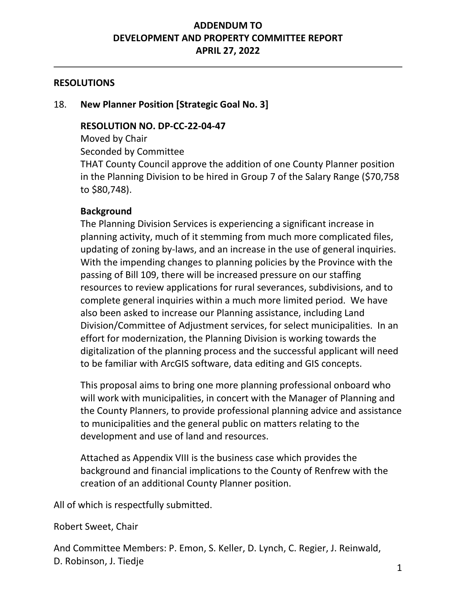# **ADDENDUM TO DEVELOPMENT AND PROPERTY COMMITTEE REPORT APRIL 27, 2022**

### **RESOLUTIONS**

#### 18. **New Planner Position [Strategic Goal No. 3]**

#### **RESOLUTION NO. DP-CC-22-04-47**

Moved by Chair Seconded by Committee THAT County Council approve the addition of one County Planner position in the Planning Division to be hired in Group 7 of the Salary Range (\$70,758 to \$80,748).

## **Background**

The Planning Division Services is experiencing a significant increase in planning activity, much of it stemming from much more complicated files, updating of zoning by-laws, and an increase in the use of general inquiries. With the impending changes to planning policies by the Province with the passing of Bill 109, there will be increased pressure on our staffing resources to review applications for rural severances, subdivisions, and to complete general inquiries within a much more limited period. We have also been asked to increase our Planning assistance, including Land Division/Committee of Adjustment services, for select municipalities. In an effort for modernization, the Planning Division is working towards the digitalization of the planning process and the successful applicant will need to be familiar with ArcGIS software, data editing and GIS concepts.

This proposal aims to bring one more planning professional onboard who will work with municipalities, in concert with the Manager of Planning and the County Planners, to provide professional planning advice and assistance to municipalities and the general public on matters relating to the development and use of land and resources.

Attached as Appendix VIII is the business case which provides the background and financial implications to the County of Renfrew with the creation of an additional County Planner position.

All of which is respectfully submitted.

#### Robert Sweet, Chair

And Committee Members: P. Emon, S. Keller, D. Lynch, C. Regier, J. Reinwald, D. Robinson, J. Tiedje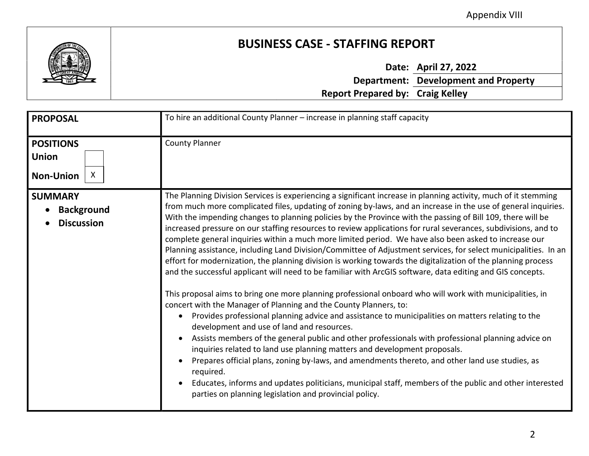Appendix VIII



# **BUSINESS CASE - STAFFING REPORT**

**Date: April 27, 2022**

|                                         | <b>Department: Development and Property</b> |
|-----------------------------------------|---------------------------------------------|
| <b>Report Prepared by: Craig Kelley</b> |                                             |

| <b>PROPOSAL</b>                                                      | To hire an additional County Planner - increase in planning staff capacity                                                                                                                                                                                                                                                                                                                                                                                                                                                                                                                                                                                                                                                                                                                                                                                                                                                                                                                                                                                                                                                                                                                                                                                                                                                                                                                                                                                                                                                                                                                                                                                                                                                               |  |
|----------------------------------------------------------------------|------------------------------------------------------------------------------------------------------------------------------------------------------------------------------------------------------------------------------------------------------------------------------------------------------------------------------------------------------------------------------------------------------------------------------------------------------------------------------------------------------------------------------------------------------------------------------------------------------------------------------------------------------------------------------------------------------------------------------------------------------------------------------------------------------------------------------------------------------------------------------------------------------------------------------------------------------------------------------------------------------------------------------------------------------------------------------------------------------------------------------------------------------------------------------------------------------------------------------------------------------------------------------------------------------------------------------------------------------------------------------------------------------------------------------------------------------------------------------------------------------------------------------------------------------------------------------------------------------------------------------------------------------------------------------------------------------------------------------------------|--|
| <b>POSITIONS</b><br><b>Union</b><br>$\mathsf{X}$<br><b>Non-Union</b> | <b>County Planner</b>                                                                                                                                                                                                                                                                                                                                                                                                                                                                                                                                                                                                                                                                                                                                                                                                                                                                                                                                                                                                                                                                                                                                                                                                                                                                                                                                                                                                                                                                                                                                                                                                                                                                                                                    |  |
| <b>SUMMARY</b><br><b>Background</b><br><b>Discussion</b>             | The Planning Division Services is experiencing a significant increase in planning activity, much of it stemming<br>from much more complicated files, updating of zoning by-laws, and an increase in the use of general inquiries.<br>With the impending changes to planning policies by the Province with the passing of Bill 109, there will be<br>increased pressure on our staffing resources to review applications for rural severances, subdivisions, and to<br>complete general inquiries within a much more limited period. We have also been asked to increase our<br>Planning assistance, including Land Division/Committee of Adjustment services, for select municipalities. In an<br>effort for modernization, the planning division is working towards the digitalization of the planning process<br>and the successful applicant will need to be familiar with ArcGIS software, data editing and GIS concepts.<br>This proposal aims to bring one more planning professional onboard who will work with municipalities, in<br>concert with the Manager of Planning and the County Planners, to:<br>Provides professional planning advice and assistance to municipalities on matters relating to the<br>development and use of land and resources.<br>Assists members of the general public and other professionals with professional planning advice on<br>inquiries related to land use planning matters and development proposals.<br>Prepares official plans, zoning by-laws, and amendments thereto, and other land use studies, as<br>required.<br>Educates, informs and updates politicians, municipal staff, members of the public and other interested<br>parties on planning legislation and provincial policy. |  |